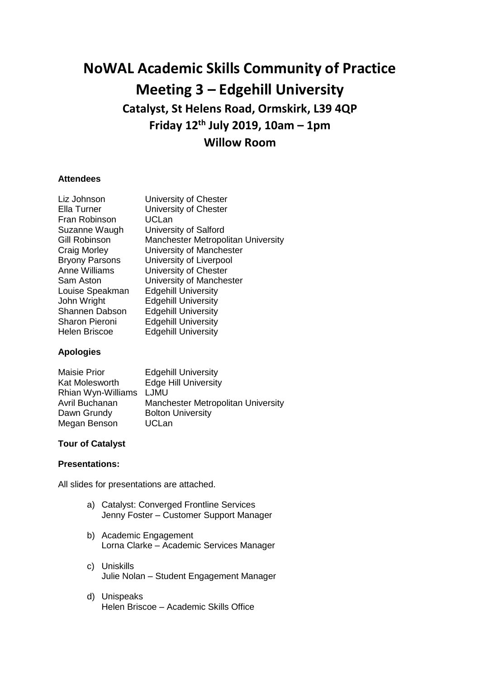# **NoWAL Academic Skills Community of Practice Meeting 3 – Edgehill University Catalyst, St Helens Road, Ormskirk, L39 4QP Friday 12th July 2019, 10am – 1pm Willow Room**

### **Attendees**

| Liz Johnson           | University of Chester              |
|-----------------------|------------------------------------|
| Ella Turner           | University of Chester              |
| Fran Robinson         | <b>UCLan</b>                       |
| Suzanne Waugh         | University of Salford              |
| Gill Robinson         | Manchester Metropolitan University |
| Craig Morley          | University of Manchester           |
| <b>Bryony Parsons</b> | University of Liverpool            |
| <b>Anne Williams</b>  | University of Chester              |
| Sam Aston             | University of Manchester           |
| Louise Speakman       | <b>Edgehill University</b>         |
| John Wright           | <b>Edgehill University</b>         |
| Shannen Dabson        | <b>Edgehill University</b>         |
| <b>Sharon Pieroni</b> | <b>Edgehill University</b>         |
| Helen Briscoe         | <b>Edgehill University</b>         |
|                       |                                    |

## **Apologies**

| <b>Maisie Prior</b> | <b>Edgehill University</b>         |
|---------------------|------------------------------------|
| Kat Molesworth      | <b>Edge Hill University</b>        |
| Rhian Wyn-Williams  | <b>LJMU</b>                        |
| Avril Buchanan      | Manchester Metropolitan University |
| Dawn Grundy         | <b>Bolton University</b>           |
| Megan Benson        | <b>UCLan</b>                       |

## **Tour of Catalyst**

### **Presentations:**

All slides for presentations are attached.

- a) Catalyst: Converged Frontline Services Jenny Foster – Customer Support Manager
- b) Academic Engagement Lorna Clarke – Academic Services Manager
- c) Uniskills Julie Nolan – Student Engagement Manager
- d) Unispeaks Helen Briscoe – Academic Skills Office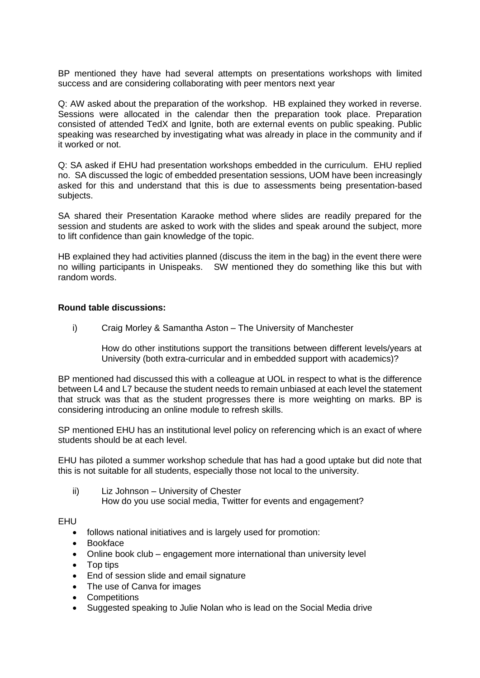BP mentioned they have had several attempts on presentations workshops with limited success and are considering collaborating with peer mentors next year

Q: AW asked about the preparation of the workshop. HB explained they worked in reverse. Sessions were allocated in the calendar then the preparation took place. Preparation consisted of attended TedX and Ignite, both are external events on public speaking. Public speaking was researched by investigating what was already in place in the community and if it worked or not.

Q: SA asked if EHU had presentation workshops embedded in the curriculum. EHU replied no. SA discussed the logic of embedded presentation sessions, UOM have been increasingly asked for this and understand that this is due to assessments being presentation-based subjects.

SA shared their Presentation Karaoke method where slides are readily prepared for the session and students are asked to work with the slides and speak around the subject, more to lift confidence than gain knowledge of the topic.

HB explained they had activities planned (discuss the item in the bag) in the event there were no willing participants in Unispeaks. SW mentioned they do something like this but with random words.

#### **Round table discussions:**

i) Craig Morley & Samantha Aston – The University of Manchester

How do other institutions support the transitions between different levels/years at University (both extra-curricular and in embedded support with academics)?

BP mentioned had discussed this with a colleague at UOL in respect to what is the difference between L4 and L7 because the student needs to remain unbiased at each level the statement that struck was that as the student progresses there is more weighting on marks. BP is considering introducing an online module to refresh skills.

SP mentioned EHU has an institutional level policy on referencing which is an exact of where students should be at each level.

EHU has piloted a summer workshop schedule that has had a good uptake but did note that this is not suitable for all students, especially those not local to the university.

ii) Liz Johnson – University of Chester

How do you use social media, Twitter for events and engagement?

EHU

- follows national initiatives and is largely used for promotion:
- Bookface
- Online book club engagement more international than university level
- Top tips
- End of session slide and email signature
- The use of Canva for images
- Competitions
- Suggested speaking to Julie Nolan who is lead on the Social Media drive